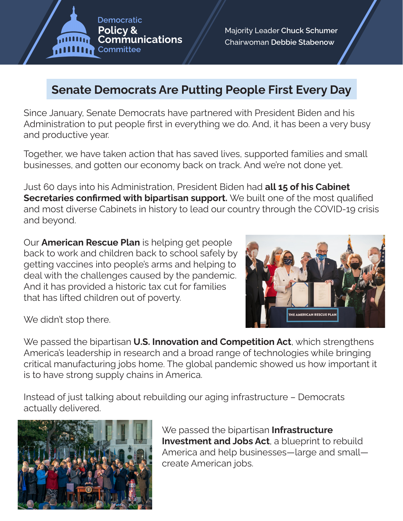**Democratic Policy & Communications** Committee

Majority Leader Chuck Schumer Chairwoman Debbie Stabenow

## **Senate Democrats Are Putting People First Every Day**

Since January, Senate Democrats have partnered with President Biden and his Administration to put people first in everything we do. And, it has been a very busy and productive year.

Together, we have taken action that has saved lives, supported families and small businesses, and gotten our economy back on track. And we're not done yet.

Just 60 days into his Administration, President Biden had **all 15 of his Cabinet Secretaries confirmed with bipartisan support.** We built one of the most qualified and most diverse Cabinets in history to lead our country through the COVID-19 crisis and beyond.

Our **American Rescue Plan** is helping get people back to work and children back to school safely by getting vaccines into people's arms and helping to deal with the challenges caused by the pandemic. And it has provided a historic tax cut for families that has lifted children out of poverty.



We didn't stop there.

We passed the bipartisan **U.S. Innovation and Competition Act**, which strengthens America's leadership in research and a broad range of technologies while bringing critical manufacturing jobs home. The global pandemic showed us how important it is to have strong supply chains in America.

Instead of just talking about rebuilding our aging infrastructure – Democrats actually delivered.



We passed the bipartisan **Infrastructure Investment and Jobs Act**, a blueprint to rebuild America and help businesses—large and small create American jobs.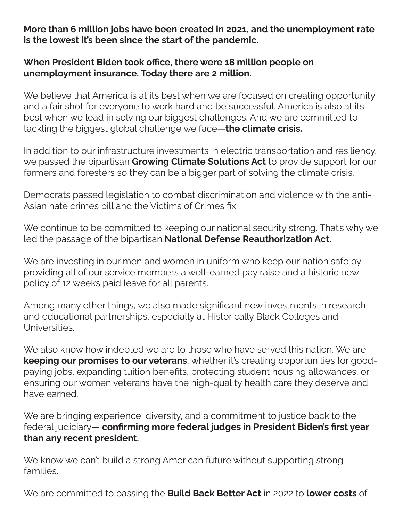**More than 6 million jobs have been created in 2021, and the unemployment rate is the lowest it's been since the start of the pandemic.**

## **When President Biden took office, there were 18 million people on unemployment insurance. Today there are 2 million.**

We believe that America is at its best when we are focused on creating opportunity and a fair shot for everyone to work hard and be successful. America is also at its best when we lead in solving our biggest challenges. And we are committed to tackling the biggest global challenge we face—**the climate crisis.**

In addition to our infrastructure investments in electric transportation and resiliency, we passed the bipartisan **Growing Climate Solutions Act** to provide support for our farmers and foresters so they can be a bigger part of solving the climate crisis.

Democrats passed legislation to combat discrimination and violence with the anti-Asian hate crimes bill and the Victims of Crimes fix.

We continue to be committed to keeping our national security strong. That's why we led the passage of the bipartisan **National Defense Reauthorization Act.**

We are investing in our men and women in uniform who keep our nation safe by providing all of our service members a well-earned pay raise and a historic new policy of 12 weeks paid leave for all parents.

Among many other things, we also made significant new investments in research and educational partnerships, especially at Historically Black Colleges and Universities.

We also know how indebted we are to those who have served this nation. We are **keeping our promises to our veterans**, whether it's creating opportunities for goodpaying jobs, expanding tuition benefits, protecting student housing allowances, or ensuring our women veterans have the high-quality health care they deserve and have earned.

We are bringing experience, diversity, and a commitment to justice back to the federal judiciary— **confirming more federal judges in President Biden's first year than any recent president.** 

We know we can't build a strong American future without supporting strong families.

We are committed to passing the **Build Back Better Act** in 2022 to **lower costs** of